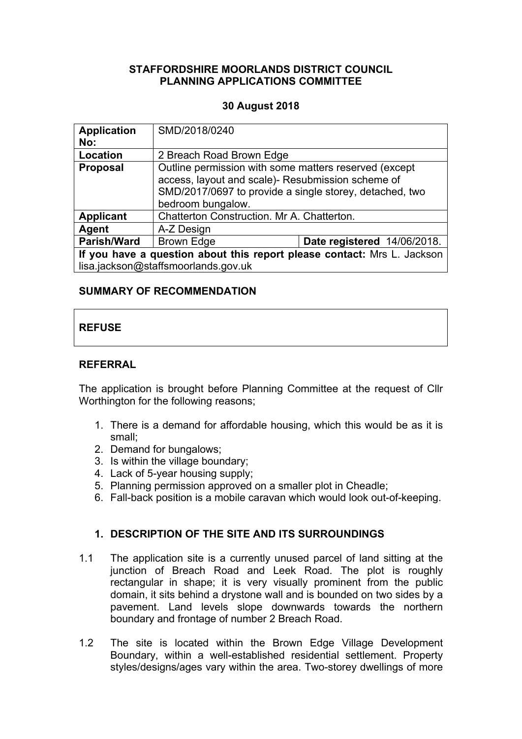#### **STAFFORDSHIRE MOORLANDS DISTRICT COUNCIL PLANNING APPLICATIONS COMMITTEE**

#### **30 August 2018**

| <b>Application</b><br>No:                                                                                      | SMD/2018/0240                                                                                                                                                                              |                             |
|----------------------------------------------------------------------------------------------------------------|--------------------------------------------------------------------------------------------------------------------------------------------------------------------------------------------|-----------------------------|
| Location                                                                                                       | 2 Breach Road Brown Edge                                                                                                                                                                   |                             |
| <b>Proposal</b>                                                                                                | Outline permission with some matters reserved (except<br>access, layout and scale)- Resubmission scheme of<br>SMD/2017/0697 to provide a single storey, detached, two<br>bedroom bungalow. |                             |
| <b>Applicant</b>                                                                                               | Chatterton Construction. Mr A. Chatterton.                                                                                                                                                 |                             |
| <b>Agent</b>                                                                                                   | A-Z Design                                                                                                                                                                                 |                             |
| <b>Parish/Ward</b>                                                                                             | <b>Brown Edge</b>                                                                                                                                                                          | Date registered 14/06/2018. |
| If you have a question about this report please contact: Mrs L. Jackson<br>lisa.jackson@staffsmoorlands.gov.uk |                                                                                                                                                                                            |                             |

### **SUMMARY OF RECOMMENDATION**

# **REFUSE**

#### **REFERRAL**

The application is brought before Planning Committee at the request of Cllr Worthington for the following reasons;

- 1. There is a demand for affordable housing, which this would be as it is small;
- 2. Demand for bungalows;
- 3. Is within the village boundary;
- 4. Lack of 5-year housing supply;
- 5. Planning permission approved on a smaller plot in Cheadle;
- 6. Fall-back position is a mobile caravan which would look out-of-keeping.

### **1. DESCRIPTION OF THE SITE AND ITS SURROUNDINGS**

- 1.1 The application site is a currently unused parcel of land sitting at the junction of Breach Road and Leek Road. The plot is roughly rectangular in shape; it is very visually prominent from the public domain, it sits behind a drystone wall and is bounded on two sides by a pavement. Land levels slope downwards towards the northern boundary and frontage of number 2 Breach Road.
- 1.2 The site is located within the Brown Edge Village Development Boundary, within a well-established residential settlement. Property styles/designs/ages vary within the area. Two-storey dwellings of more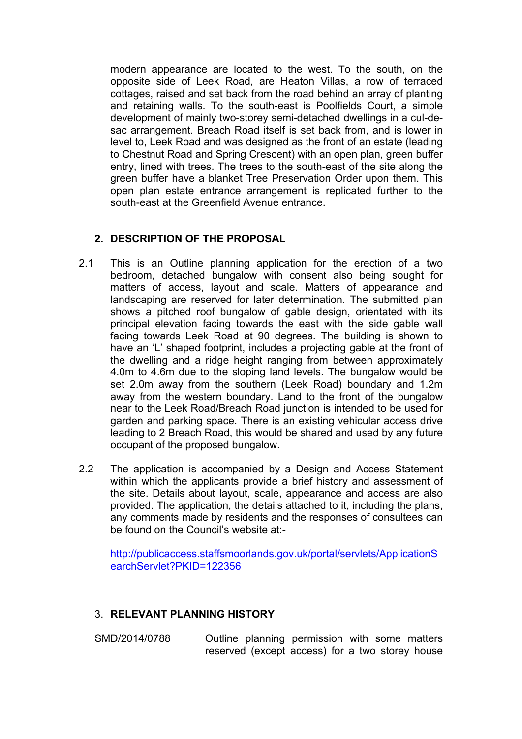modern appearance are located to the west. To the south, on the opposite side of Leek Road, are Heaton Villas, a row of terraced cottages, raised and set back from the road behind an array of planting and retaining walls. To the south-east is Poolfields Court, a simple development of mainly two-storey semi-detached dwellings in a cul-desac arrangement. Breach Road itself is set back from, and is lower in level to, Leek Road and was designed as the front of an estate (leading to Chestnut Road and Spring Crescent) with an open plan, green buffer entry, lined with trees. The trees to the south-east of the site along the green buffer have a blanket Tree Preservation Order upon them. This open plan estate entrance arrangement is replicated further to the south-east at the Greenfield Avenue entrance.

### **2. DESCRIPTION OF THE PROPOSAL**

- 2.1 This is an Outline planning application for the erection of a two bedroom, detached bungalow with consent also being sought for matters of access, layout and scale. Matters of appearance and landscaping are reserved for later determination. The submitted plan shows a pitched roof bungalow of gable design, orientated with its principal elevation facing towards the east with the side gable wall facing towards Leek Road at 90 degrees. The building is shown to have an 'L' shaped footprint, includes a projecting gable at the front of the dwelling and a ridge height ranging from between approximately 4.0m to 4.6m due to the sloping land levels. The bungalow would be set 2.0m away from the southern (Leek Road) boundary and 1.2m away from the western boundary. Land to the front of the bungalow near to the Leek Road/Breach Road junction is intended to be used for garden and parking space. There is an existing vehicular access drive leading to 2 Breach Road, this would be shared and used by any future occupant of the proposed bungalow.
- 2.2 The application is accompanied by a Design and Access Statement within which the applicants provide a brief history and assessment of the site. Details about layout, scale, appearance and access are also provided. The application, the details attached to it, including the plans, any comments made by residents and the responses of consultees can be found on the Council's website at:-

[http://publicaccess.staffsmoorlands.gov.uk/portal/servlets/ApplicationS](http://publicaccess.staffsmoorlands.gov.uk/portal/servlets/ApplicationSearchServlet?PKID=122356) [earchServlet?PKID=122356](http://publicaccess.staffsmoorlands.gov.uk/portal/servlets/ApplicationSearchServlet?PKID=122356)

### 3. **RELEVANT PLANNING HISTORY**

SMD/2014/0788 Outline planning permission with some matters reserved (except access) for a two storey house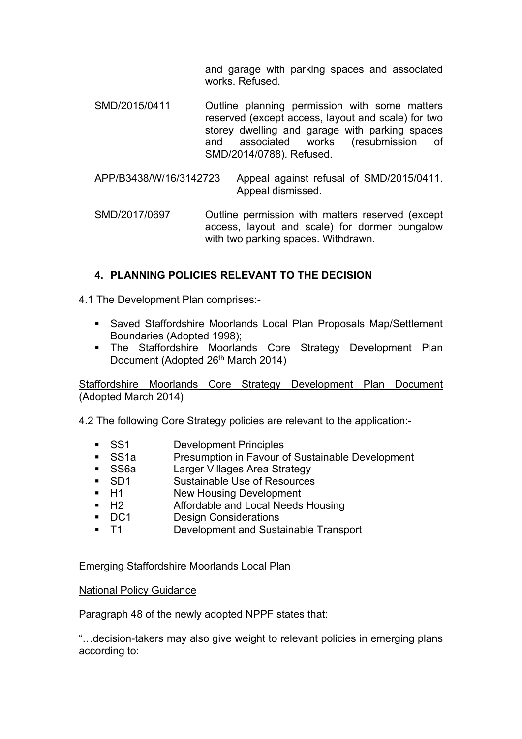and garage with parking spaces and associated works. Refused.

- SMD/2015/0411 Outline planning permission with some matters reserved (except access, layout and scale) for two storey dwelling and garage with parking spaces and associated works (resubmission of SMD/2014/0788). Refused.
- APP/B3438/W/16/3142723 Appeal against refusal of SMD/2015/0411. Appeal dismissed.
- SMD/2017/0697 Outline permission with matters reserved (except access, layout and scale) for dormer bungalow with two parking spaces. Withdrawn.

## **4. PLANNING POLICIES RELEVANT TO THE DECISION**

4.1 The Development Plan comprises:-

- Saved Staffordshire Moorlands Local Plan Proposals Map/Settlement Boundaries (Adopted 1998);
- The Staffordshire Moorlands Core Strategy Development Plan Document (Adopted 26<sup>th</sup> March 2014)

Staffordshire Moorlands Core Strategy Development Plan Document (Adopted March 2014)

4.2 The following Core Strategy policies are relevant to the application:-

- **SS1** Development Principles
- SS1a Presumption in Favour of Sustainable Development
- **SS6a** Larger Villages Area Strategy
- SD1 Sustainable Use of Resources
- H1 New Housing Development
- H2 Affordable and Local Needs Housing
- DC1 Design Considerations
- T1 Development and Sustainable Transport

#### Emerging Staffordshire Moorlands Local Plan

#### National Policy Guidance

Paragraph 48 of the newly adopted NPPF states that:

"…decision-takers may also give weight to relevant policies in emerging plans according to: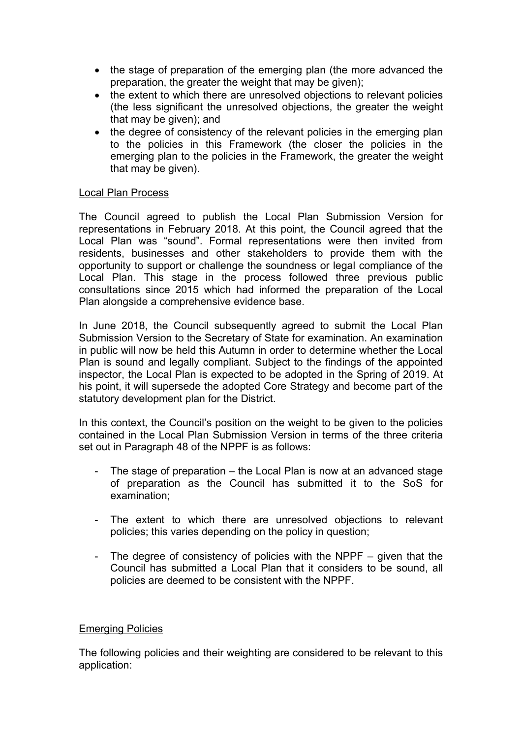- the stage of preparation of the emerging plan (the more advanced the preparation, the greater the weight that may be given);
- the extent to which there are unresolved objections to relevant policies (the less significant the unresolved objections, the greater the weight that may be given); and
- the degree of consistency of the relevant policies in the emerging plan to the policies in this Framework (the closer the policies in the emerging plan to the policies in the Framework, the greater the weight that may be given).

#### Local Plan Process

The Council agreed to publish the Local Plan Submission Version for representations in February 2018. At this point, the Council agreed that the Local Plan was "sound". Formal representations were then invited from residents, businesses and other stakeholders to provide them with the opportunity to support or challenge the soundness or legal compliance of the Local Plan. This stage in the process followed three previous public consultations since 2015 which had informed the preparation of the Local Plan alongside a comprehensive evidence base.

In June 2018, the Council subsequently agreed to submit the Local Plan Submission Version to the Secretary of State for examination. An examination in public will now be held this Autumn in order to determine whether the Local Plan is sound and legally compliant. Subject to the findings of the appointed inspector, the Local Plan is expected to be adopted in the Spring of 2019. At his point, it will supersede the adopted Core Strategy and become part of the statutory development plan for the District.

In this context, the Council's position on the weight to be given to the policies contained in the Local Plan Submission Version in terms of the three criteria set out in Paragraph 48 of the NPPF is as follows:

- The stage of preparation  $-$  the Local Plan is now at an advanced stage of preparation as the Council has submitted it to the SoS for examination;
- The extent to which there are unresolved objections to relevant policies; this varies depending on the policy in question;
- The degree of consistency of policies with the NPPF given that the Council has submitted a Local Plan that it considers to be sound, all policies are deemed to be consistent with the NPPF.

#### Emerging Policies

The following policies and their weighting are considered to be relevant to this application: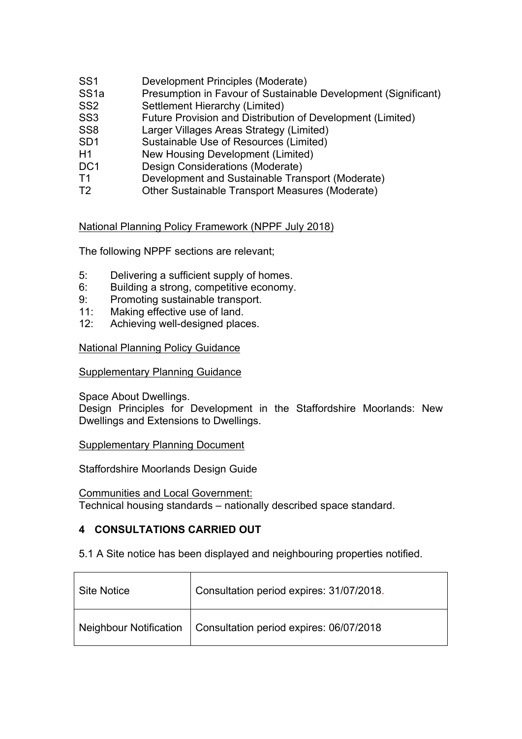- SS1 Development Principles (Moderate)
- SS1a Presumption in Favour of Sustainable Development (Significant)
- SS2 Settlement Hierarchy (Limited)
- SS3 Future Provision and Distribution of Development (Limited)
- SS8 Larger Villages Areas Strategy (Limited)
- SD1 Sustainable Use of Resources (Limited)
- H1 New Housing Development (Limited)
- DC1 Design Considerations (Moderate)
- T1 Development and Sustainable Transport (Moderate)
- T2 Other Sustainable Transport Measures (Moderate)

National Planning Policy Framework (NPPF July 2018)

The following NPPF sections are relevant;

- 5: Delivering a sufficient supply of homes.
- 6: Building a strong, competitive economy.
- 9: Promoting sustainable transport.
- 11: Making effective use of land.
- 12: Achieving well-designed places.

National Planning Policy Guidance

#### Supplementary Planning Guidance

Space About Dwellings.

Design Principles for Development in the Staffordshire Moorlands: New Dwellings and Extensions to Dwellings.

#### Supplementary Planning Document

Staffordshire Moorlands Design Guide

Communities and Local Government:

Technical housing standards – nationally described space standard.

### **4 CONSULTATIONS CARRIED OUT**

5.1 A Site notice has been displayed and neighbouring properties notified.

| Site Notice | Consultation period expires: 31/07/2018.                         |
|-------------|------------------------------------------------------------------|
|             | Neighbour Notification   Consultation period expires: 06/07/2018 |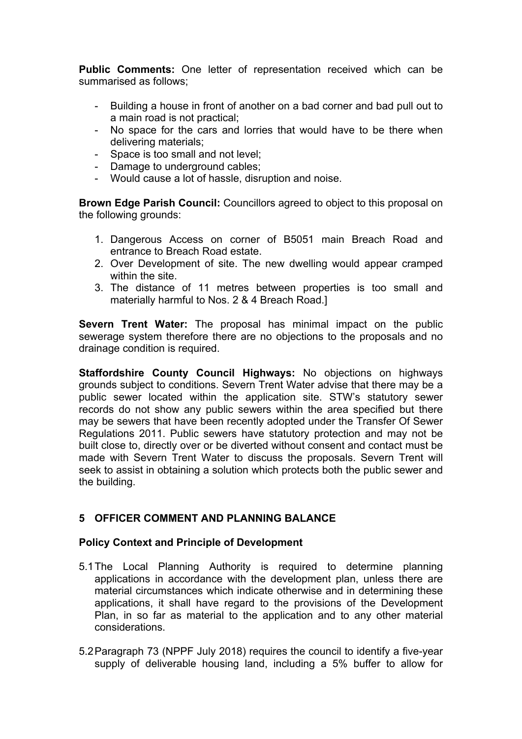**Public Comments:** One letter of representation received which can be summarised as follows;

- Building a house in front of another on a bad corner and bad pull out to a main road is not practical;
- No space for the cars and lorries that would have to be there when delivering materials;
- Space is too small and not level;
- Damage to underground cables;
- Would cause a lot of hassle, disruption and noise.

**Brown Edge Parish Council:** Councillors agreed to object to this proposal on the following grounds:

- 1. Dangerous Access on corner of B5051 main Breach Road and entrance to Breach Road estate.
- 2. Over Development of site. The new dwelling would appear cramped within the site.
- 3. The distance of 11 metres between properties is too small and materially harmful to Nos. 2 & 4 Breach Road.]

**Severn Trent Water:** The proposal has minimal impact on the public sewerage system therefore there are no objections to the proposals and no drainage condition is required.

**Staffordshire County Council Highways:** No objections on highways grounds subject to conditions. Severn Trent Water advise that there may be a public sewer located within the application site. STW's statutory sewer records do not show any public sewers within the area specified but there may be sewers that have been recently adopted under the Transfer Of Sewer Regulations 2011. Public sewers have statutory protection and may not be built close to, directly over or be diverted without consent and contact must be made with Severn Trent Water to discuss the proposals. Severn Trent will seek to assist in obtaining a solution which protects both the public sewer and the building.

### **5 OFFICER COMMENT AND PLANNING BALANCE**

#### **Policy Context and Principle of Development**

- 5.1The Local Planning Authority is required to determine planning applications in accordance with the development plan, unless there are material circumstances which indicate otherwise and in determining these applications, it shall have regard to the provisions of the Development Plan, in so far as material to the application and to any other material considerations.
- 5.2Paragraph 73 (NPPF July 2018) requires the council to identify a five-year supply of deliverable housing land, including a 5% buffer to allow for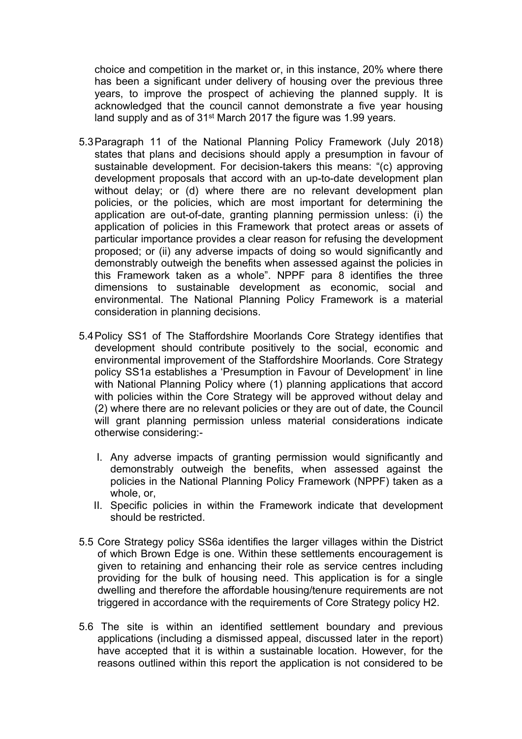choice and competition in the market or, in this instance, 20% where there has been a significant under delivery of housing over the previous three years, to improve the prospect of achieving the planned supply. It is acknowledged that the council cannot demonstrate a five year housing land supply and as of 31<sup>st</sup> March 2017 the figure was 1.99 years.

- 5.3Paragraph 11 of the National Planning Policy Framework (July 2018) states that plans and decisions should apply a presumption in favour of sustainable development. For decision-takers this means: "(c) approving development proposals that accord with an up-to-date development plan without delay; or (d) where there are no relevant development plan policies, or the policies, which are most important for determining the application are out-of-date, granting planning permission unless: (i) the application of policies in this Framework that protect areas or assets of particular importance provides a clear reason for refusing the development proposed; or (ii) any adverse impacts of doing so would significantly and demonstrably outweigh the benefits when assessed against the policies in this Framework taken as a whole". NPPF para 8 identifies the three dimensions to sustainable development as economic, social and environmental. The National Planning Policy Framework is a material consideration in planning decisions.
- 5.4Policy SS1 of The Staffordshire Moorlands Core Strategy identifies that development should contribute positively to the social, economic and environmental improvement of the Staffordshire Moorlands. Core Strategy policy SS1a establishes a 'Presumption in Favour of Development' in line with National Planning Policy where (1) planning applications that accord with policies within the Core Strategy will be approved without delay and (2) where there are no relevant policies or they are out of date, the Council will grant planning permission unless material considerations indicate otherwise considering:-
	- I. Any adverse impacts of granting permission would significantly and demonstrably outweigh the benefits, when assessed against the policies in the National Planning Policy Framework (NPPF) taken as a whole, or,
	- II. Specific policies in within the Framework indicate that development should be restricted.
- 5.5 Core Strategy policy SS6a identifies the larger villages within the District of which Brown Edge is one. Within these settlements encouragement is given to retaining and enhancing their role as service centres including providing for the bulk of housing need. This application is for a single dwelling and therefore the affordable housing/tenure requirements are not triggered in accordance with the requirements of Core Strategy policy H2.
- 5.6 The site is within an identified settlement boundary and previous applications (including a dismissed appeal, discussed later in the report) have accepted that it is within a sustainable location. However, for the reasons outlined within this report the application is not considered to be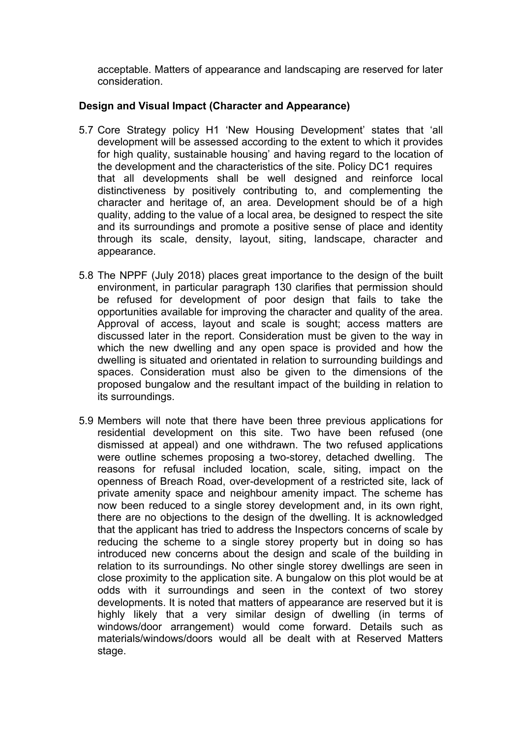acceptable. Matters of appearance and landscaping are reserved for later consideration.

### **Design and Visual Impact (Character and Appearance)**

- 5.7 Core Strategy policy H1 'New Housing Development' states that 'all development will be assessed according to the extent to which it provides for high quality, sustainable housing' and having regard to the location of the development and the characteristics of the site. Policy DC1 requires that all developments shall be well designed and reinforce local distinctiveness by positively contributing to, and complementing the character and heritage of, an area. Development should be of a high quality, adding to the value of a local area, be designed to respect the site and its surroundings and promote a positive sense of place and identity through its scale, density, layout, siting, landscape, character and appearance.
- 5.8 The NPPF (July 2018) places great importance to the design of the built environment, in particular paragraph 130 clarifies that permission should be refused for development of poor design that fails to take the opportunities available for improving the character and quality of the area. Approval of access, layout and scale is sought; access matters are discussed later in the report. Consideration must be given to the way in which the new dwelling and any open space is provided and how the dwelling is situated and orientated in relation to surrounding buildings and spaces. Consideration must also be given to the dimensions of the proposed bungalow and the resultant impact of the building in relation to its surroundings.
- 5.9 Members will note that there have been three previous applications for residential development on this site. Two have been refused (one dismissed at appeal) and one withdrawn. The two refused applications were outline schemes proposing a two-storey, detached dwelling. The reasons for refusal included location, scale, siting, impact on the openness of Breach Road, over-development of a restricted site, lack of private amenity space and neighbour amenity impact. The scheme has now been reduced to a single storey development and, in its own right, there are no objections to the design of the dwelling. It is acknowledged that the applicant has tried to address the Inspectors concerns of scale by reducing the scheme to a single storey property but in doing so has introduced new concerns about the design and scale of the building in relation to its surroundings. No other single storey dwellings are seen in close proximity to the application site. A bungalow on this plot would be at odds with it surroundings and seen in the context of two storey developments. It is noted that matters of appearance are reserved but it is highly likely that a very similar design of dwelling (in terms of windows/door arrangement) would come forward. Details such as materials/windows/doors would all be dealt with at Reserved Matters stage.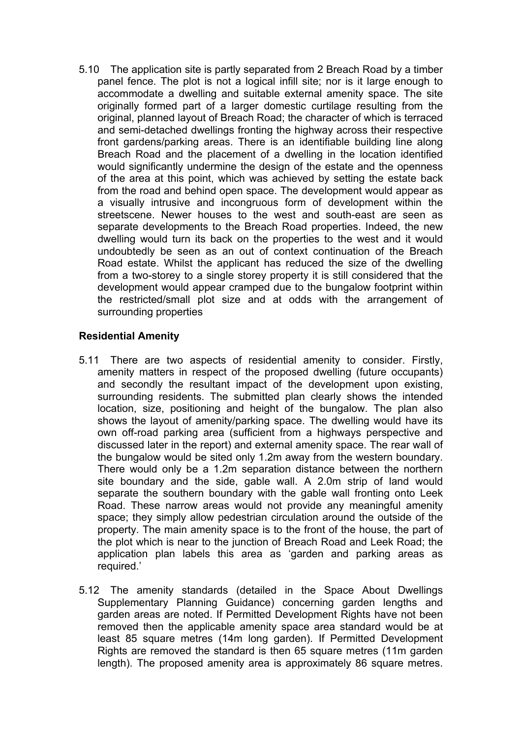5.10 The application site is partly separated from 2 Breach Road by a timber panel fence. The plot is not a logical infill site; nor is it large enough to accommodate a dwelling and suitable external amenity space. The site originally formed part of a larger domestic curtilage resulting from the original, planned layout of Breach Road; the character of which is terraced and semi-detached dwellings fronting the highway across their respective front gardens/parking areas. There is an identifiable building line along Breach Road and the placement of a dwelling in the location identified would significantly undermine the design of the estate and the openness of the area at this point, which was achieved by setting the estate back from the road and behind open space. The development would appear as a visually intrusive and incongruous form of development within the streetscene. Newer houses to the west and south-east are seen as separate developments to the Breach Road properties. Indeed, the new dwelling would turn its back on the properties to the west and it would undoubtedly be seen as an out of context continuation of the Breach Road estate. Whilst the applicant has reduced the size of the dwelling from a two-storey to a single storey property it is still considered that the development would appear cramped due to the bungalow footprint within the restricted/small plot size and at odds with the arrangement of surrounding properties

#### **Residential Amenity**

- 5.11 There are two aspects of residential amenity to consider. Firstly, amenity matters in respect of the proposed dwelling (future occupants) and secondly the resultant impact of the development upon existing, surrounding residents. The submitted plan clearly shows the intended location, size, positioning and height of the bungalow. The plan also shows the layout of amenity/parking space. The dwelling would have its own off-road parking area (sufficient from a highways perspective and discussed later in the report) and external amenity space. The rear wall of the bungalow would be sited only 1.2m away from the western boundary. There would only be a 1.2m separation distance between the northern site boundary and the side, gable wall. A 2.0m strip of land would separate the southern boundary with the gable wall fronting onto Leek Road. These narrow areas would not provide any meaningful amenity space; they simply allow pedestrian circulation around the outside of the property. The main amenity space is to the front of the house, the part of the plot which is near to the junction of Breach Road and Leek Road; the application plan labels this area as 'garden and parking areas as required.'
- 5.12 The amenity standards (detailed in the Space About Dwellings Supplementary Planning Guidance) concerning garden lengths and garden areas are noted. If Permitted Development Rights have not been removed then the applicable amenity space area standard would be at least 85 square metres (14m long garden). If Permitted Development Rights are removed the standard is then 65 square metres (11m garden length). The proposed amenity area is approximately 86 square metres.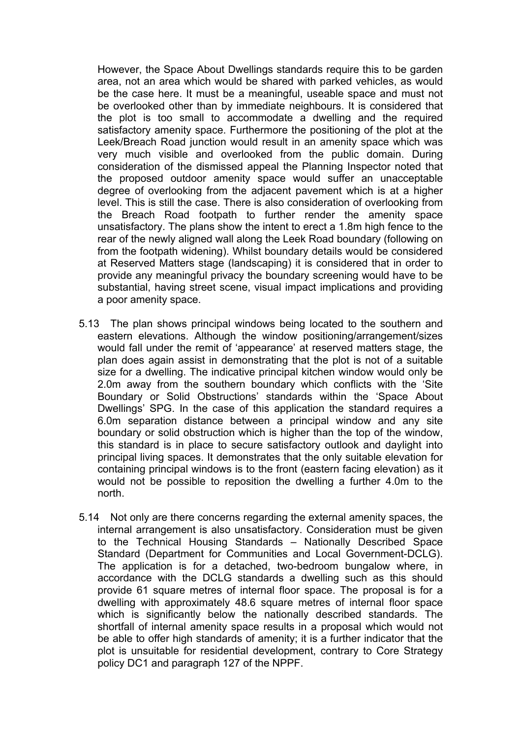However, the Space About Dwellings standards require this to be garden area, not an area which would be shared with parked vehicles, as would be the case here. It must be a meaningful, useable space and must not be overlooked other than by immediate neighbours. It is considered that the plot is too small to accommodate a dwelling and the required satisfactory amenity space. Furthermore the positioning of the plot at the Leek/Breach Road junction would result in an amenity space which was very much visible and overlooked from the public domain. During consideration of the dismissed appeal the Planning Inspector noted that the proposed outdoor amenity space would suffer an unacceptable degree of overlooking from the adjacent pavement which is at a higher level. This is still the case. There is also consideration of overlooking from the Breach Road footpath to further render the amenity space unsatisfactory. The plans show the intent to erect a 1.8m high fence to the rear of the newly aligned wall along the Leek Road boundary (following on from the footpath widening). Whilst boundary details would be considered at Reserved Matters stage (landscaping) it is considered that in order to provide any meaningful privacy the boundary screening would have to be substantial, having street scene, visual impact implications and providing a poor amenity space.

- 5.13 The plan shows principal windows being located to the southern and eastern elevations. Although the window positioning/arrangement/sizes would fall under the remit of 'appearance' at reserved matters stage, the plan does again assist in demonstrating that the plot is not of a suitable size for a dwelling. The indicative principal kitchen window would only be 2.0m away from the southern boundary which conflicts with the 'Site Boundary or Solid Obstructions' standards within the 'Space About Dwellings' SPG. In the case of this application the standard requires a 6.0m separation distance between a principal window and any site boundary or solid obstruction which is higher than the top of the window, this standard is in place to secure satisfactory outlook and daylight into principal living spaces. It demonstrates that the only suitable elevation for containing principal windows is to the front (eastern facing elevation) as it would not be possible to reposition the dwelling a further 4.0m to the north.
- 5.14 Not only are there concerns regarding the external amenity spaces, the internal arrangement is also unsatisfactory. Consideration must be given to the Technical Housing Standards – Nationally Described Space Standard (Department for Communities and Local Government-DCLG). The application is for a detached, two-bedroom bungalow where, in accordance with the DCLG standards a dwelling such as this should provide 61 square metres of internal floor space. The proposal is for a dwelling with approximately 48.6 square metres of internal floor space which is significantly below the nationally described standards. The shortfall of internal amenity space results in a proposal which would not be able to offer high standards of amenity; it is a further indicator that the plot is unsuitable for residential development, contrary to Core Strategy policy DC1 and paragraph 127 of the NPPF.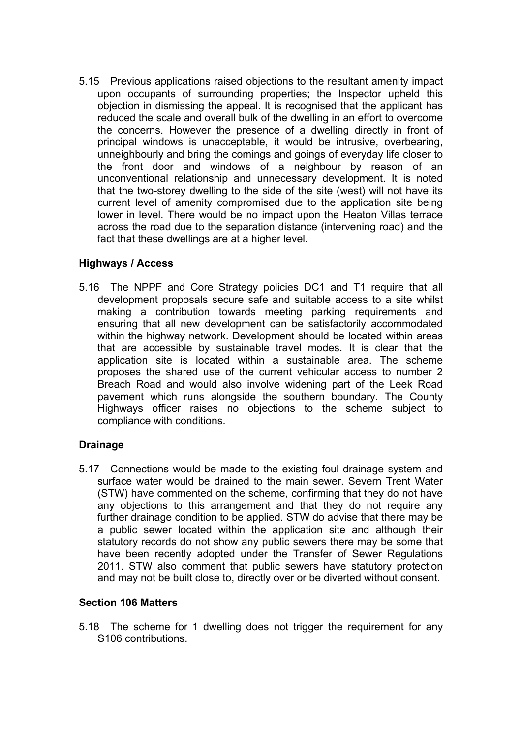5.15 Previous applications raised objections to the resultant amenity impact upon occupants of surrounding properties; the Inspector upheld this objection in dismissing the appeal. It is recognised that the applicant has reduced the scale and overall bulk of the dwelling in an effort to overcome the concerns. However the presence of a dwelling directly in front of principal windows is unacceptable, it would be intrusive, overbearing, unneighbourly and bring the comings and goings of everyday life closer to the front door and windows of a neighbour by reason of an unconventional relationship and unnecessary development. It is noted that the two-storey dwelling to the side of the site (west) will not have its current level of amenity compromised due to the application site being lower in level. There would be no impact upon the Heaton Villas terrace across the road due to the separation distance (intervening road) and the fact that these dwellings are at a higher level.

### **Highways / Access**

5.16 The NPPF and Core Strategy policies DC1 and T1 require that all development proposals secure safe and suitable access to a site whilst making a contribution towards meeting parking requirements and ensuring that all new development can be satisfactorily accommodated within the highway network. Development should be located within areas that are accessible by sustainable travel modes. It is clear that the application site is located within a sustainable area. The scheme proposes the shared use of the current vehicular access to number 2 Breach Road and would also involve widening part of the Leek Road pavement which runs alongside the southern boundary. The County Highways officer raises no objections to the scheme subject to compliance with conditions.

### **Drainage**

5.17 Connections would be made to the existing foul drainage system and surface water would be drained to the main sewer. Severn Trent Water (STW) have commented on the scheme, confirming that they do not have any objections to this arrangement and that they do not require any further drainage condition to be applied. STW do advise that there may be a public sewer located within the application site and although their statutory records do not show any public sewers there may be some that have been recently adopted under the Transfer of Sewer Regulations 2011. STW also comment that public sewers have statutory protection and may not be built close to, directly over or be diverted without consent.

#### **Section 106 Matters**

5.18 The scheme for 1 dwelling does not trigger the requirement for any S106 contributions.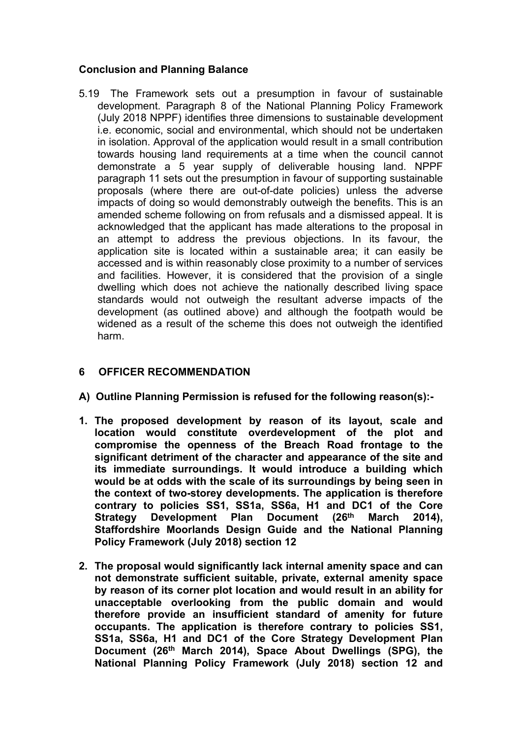### **Conclusion and Planning Balance**

5.19 The Framework sets out a presumption in favour of sustainable development. Paragraph 8 of the National Planning Policy Framework (July 2018 NPPF) identifies three dimensions to sustainable development i.e. economic, social and environmental, which should not be undertaken in isolation. Approval of the application would result in a small contribution towards housing land requirements at a time when the council cannot demonstrate a 5 year supply of deliverable housing land. NPPF paragraph 11 sets out the presumption in favour of supporting sustainable proposals (where there are out-of-date policies) unless the adverse impacts of doing so would demonstrably outweigh the benefits. This is an amended scheme following on from refusals and a dismissed appeal. It is acknowledged that the applicant has made alterations to the proposal in an attempt to address the previous objections. In its favour, the application site is located within a sustainable area; it can easily be accessed and is within reasonably close proximity to a number of services and facilities. However, it is considered that the provision of a single dwelling which does not achieve the nationally described living space standards would not outweigh the resultant adverse impacts of the development (as outlined above) and although the footpath would be widened as a result of the scheme this does not outweigh the identified harm.

### **6 OFFICER RECOMMENDATION**

- **A) Outline Planning Permission is refused for the following reason(s):-**
- **1. The proposed development by reason of its layout, scale and location would constitute overdevelopment of the plot and compromise the openness of the Breach Road frontage to the significant detriment of the character and appearance of the site and its immediate surroundings. It would introduce a building which would be at odds with the scale of its surroundings by being seen in the context of two-storey developments. The application is therefore contrary to policies SS1, SS1a, SS6a, H1 and DC1 of the Core Strategy Development Plan Document (26th March 2014), Staffordshire Moorlands Design Guide and the National Planning Policy Framework (July 2018) section 12**
- **2. The proposal would significantly lack internal amenity space and can not demonstrate sufficient suitable, private, external amenity space by reason of its corner plot location and would result in an ability for unacceptable overlooking from the public domain and would therefore provide an insufficient standard of amenity for future occupants. The application is therefore contrary to policies SS1, SS1a, SS6a, H1 and DC1 of the Core Strategy Development Plan Document (26th March 2014), Space About Dwellings (SPG), the National Planning Policy Framework (July 2018) section 12 and**